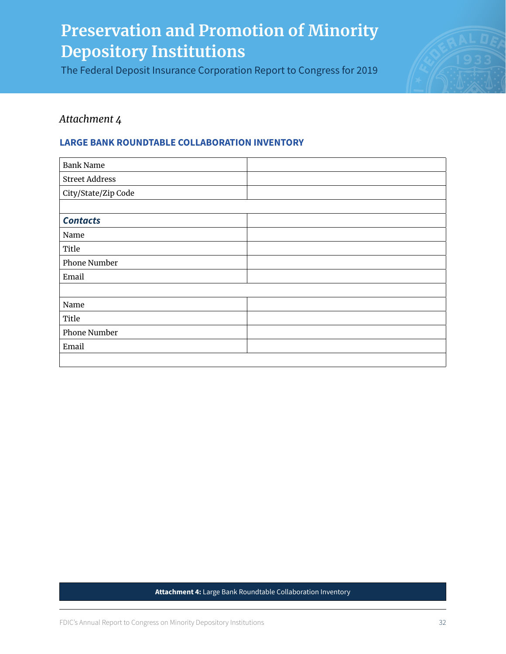The Federal Deposit Insurance Corporation Report to Congress for 2019



## *Attachment 4*

### **LARGE BANK ROUNDTABLE COLLABORATION INVENTORY**

| <b>Bank Name</b>      |  |
|-----------------------|--|
| <b>Street Address</b> |  |
| City/State/Zip Code   |  |
|                       |  |
| <b>Contacts</b>       |  |
| Name                  |  |
| Title                 |  |
| Phone Number          |  |
| Email                 |  |
|                       |  |
| Name                  |  |
| Title                 |  |
| <b>Phone Number</b>   |  |
| Email                 |  |
|                       |  |

#### **Attachment 4:** Large Bank Roundtable Collaboration Inventory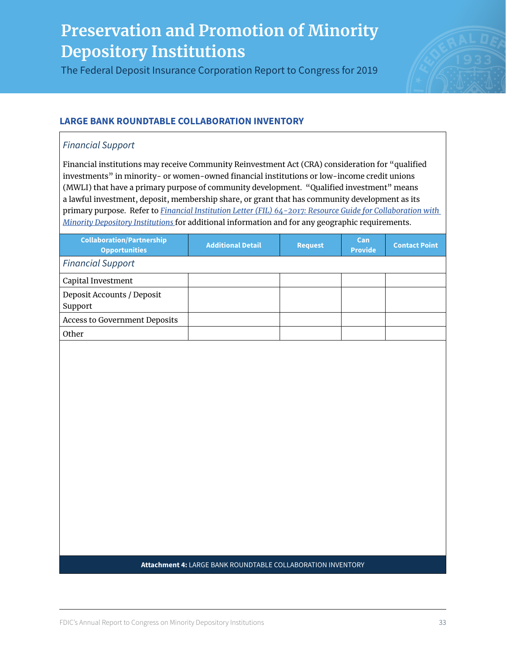The Federal Deposit Insurance Corporation Report to Congress for 2019



## **LARGE BANK ROUNDTABLE COLLABORATION INVENTORY**

## *Financial Support*

Financial institutions may receive Community Reinvestment Act (CRA) consideration for "qualified investments" in minority- or women-owned financial institutions or low-income credit unions (MWLI) that have a primary purpose of community development. "Qualified investment" means a lawful investment, deposit, membership share, or grant that has community development as its primary purpose. Refer to *[Financial Institution Letter \(FIL\) 64-2017: Resource Guide for Collaboration with](#page--1-0)  [Minority Depository Institutions](#page--1-0)* for additional information and for any geographic requirements.

| <b>Collaboration/Partnership</b><br><b>Opportunities</b>    | <b>Additional Detail</b> | <b>Request</b> | Can<br><b>Provide</b> | <b>Contact Point</b> |
|-------------------------------------------------------------|--------------------------|----------------|-----------------------|----------------------|
| <b>Financial Support</b>                                    |                          |                |                       |                      |
| Capital Investment                                          |                          |                |                       |                      |
| Deposit Accounts / Deposit<br>Support                       |                          |                |                       |                      |
| <b>Access to Government Deposits</b>                        |                          |                |                       |                      |
| Other                                                       |                          |                |                       |                      |
|                                                             |                          |                |                       |                      |
| Attachment 4: LARGE BANK ROUNDTABLE COLLABORATION INVENTORY |                          |                |                       |                      |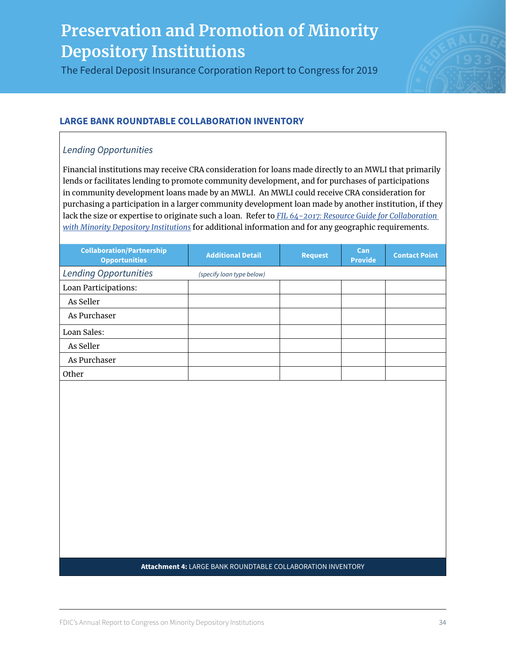The Federal Deposit Insurance Corporation Report to Congress for 2019



## **LARGE BANK ROUNDTABLE COLLABORATION INVENTORY**

### *Lending Opportunities*

Financial institutions may receive CRA consideration for loans made directly to an MWLI that primarily lends or facilitates lending to promote community development, and for purchases of participations in community development loans made by an MWLI. An MWLI could receive CRA consideration for purchasing a participation in a larger community development loan made by another institution, if they lack the size or expertise to originate such a loan. Refer to *[FIL 64-2017: Resource Guide for Collaboration](#page--1-0)  [with Minority Depository Institutions](#page--1-0)* for additional information and for any geographic requirements.

| <b>Collaboration/Partnership</b><br><b>Opportunities</b> | <b>Additional Detail</b>  | <b>Request</b> | Can<br><b>Provide</b> | <b>Contact Point</b> |
|----------------------------------------------------------|---------------------------|----------------|-----------------------|----------------------|
| <b>Lending Opportunities</b>                             | (specify loan type below) |                |                       |                      |
| <b>Loan Participations:</b>                              |                           |                |                       |                      |
| As Seller                                                |                           |                |                       |                      |
| As Purchaser                                             |                           |                |                       |                      |
| Loan Sales:                                              |                           |                |                       |                      |
| As Seller                                                |                           |                |                       |                      |
| As Purchaser                                             |                           |                |                       |                      |
| Other                                                    |                           |                |                       |                      |

### **Attachment 4:** LARGE BANK ROUNDTABLE COLLABORATION INVENTORY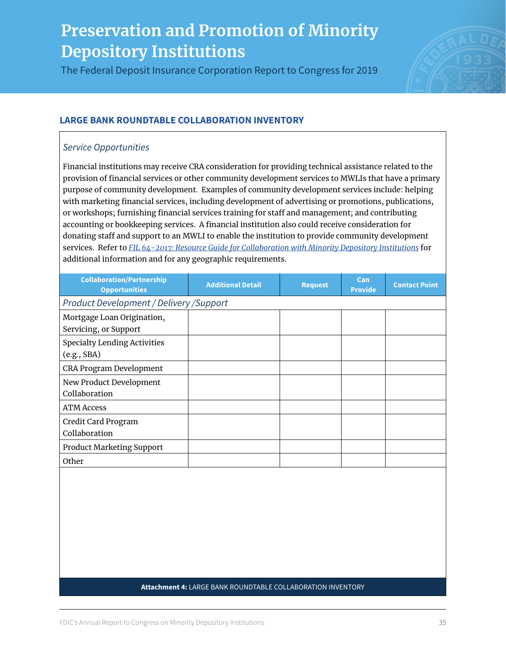The Federal Deposit Insurance Corporation Report to Congress for 2019



## **LARGE BANK ROUNDTABLE COLLABORATION INVENTORY**

### *Service Opportunities*

Financial institutions may receive CRA consideration for providing technical assistance related to the provision of financial services or other community development services to MWLIs that have a primary purpose of community development. Examples of community development services include: helping with marketing financial services, including development of advertising or promotions, publications, or workshops; furnishing financial services training for staff and management; and contributing accounting or bookkeeping services. A financial institution also could receive consideration for donating staff and support to an MWLI to enable the institution to provide community development services. Refer to *[FIL 64-2017: Resource Guide for Collaboration with Minority Depository Institutions](#page--1-0)* for additional information and for any geographic requirements.

| <b>Collaboration/Partnership</b><br><b>Opportunities</b> | <b>Additional Detail</b> | <b>Request</b> | Can<br><b>Provide</b> | <b>Contact Point</b> |
|----------------------------------------------------------|--------------------------|----------------|-----------------------|----------------------|
| Product Development / Delivery / Support                 |                          |                |                       |                      |
| Mortgage Loan Origination,<br>Servicing, or Support      |                          |                |                       |                      |
| <b>Specialty Lending Activities</b><br>(e.g., SBA)       |                          |                |                       |                      |
| CRA Program Development                                  |                          |                |                       |                      |
| New Product Development<br>Collaboration                 |                          |                |                       |                      |
| <b>ATM Access</b>                                        |                          |                |                       |                      |
| Credit Card Program<br>Collaboration                     |                          |                |                       |                      |
| <b>Product Marketing Support</b>                         |                          |                |                       |                      |
| Other                                                    |                          |                |                       |                      |

### **Attachment 4:** LARGE BANK ROUNDTABLE COLLABORATION INVENTORY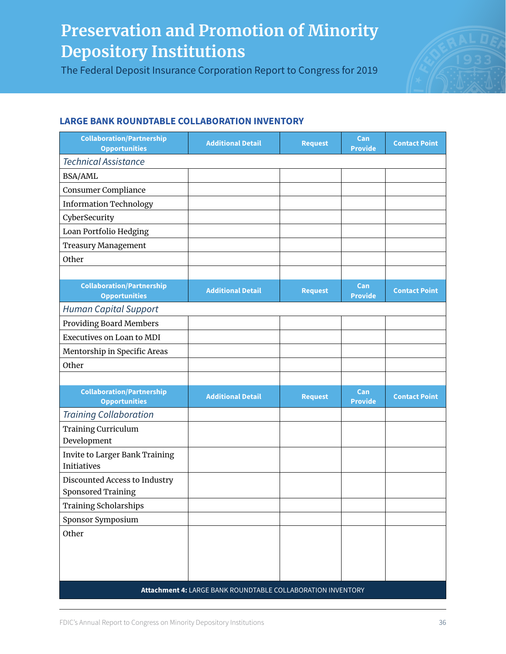The Federal Deposit Insurance Corporation Report to Congress for 2019



## **LARGE BANK ROUNDTABLE COLLABORATION INVENTORY**

| <b>Collaboration/Partnership</b><br><b>Opportunities</b>    | <b>Additional Detail</b> | <b>Request</b> | Can<br><b>Provide</b> | <b>Contact Point</b> |
|-------------------------------------------------------------|--------------------------|----------------|-----------------------|----------------------|
| <b>Technical Assistance</b>                                 |                          |                |                       |                      |
| <b>BSA/AML</b>                                              |                          |                |                       |                      |
| <b>Consumer Compliance</b>                                  |                          |                |                       |                      |
| <b>Information Technology</b>                               |                          |                |                       |                      |
| CyberSecurity                                               |                          |                |                       |                      |
| Loan Portfolio Hedging                                      |                          |                |                       |                      |
| <b>Treasury Management</b>                                  |                          |                |                       |                      |
| Other                                                       |                          |                |                       |                      |
|                                                             |                          |                |                       |                      |
| <b>Collaboration/Partnership</b><br><b>Opportunities</b>    | <b>Additional Detail</b> | <b>Request</b> | Can<br><b>Provide</b> | <b>Contact Point</b> |
| <b>Human Capital Support</b>                                |                          |                |                       |                      |
| <b>Providing Board Members</b>                              |                          |                |                       |                      |
| Executives on Loan to MDI                                   |                          |                |                       |                      |
| Mentorship in Specific Areas                                |                          |                |                       |                      |
| Other                                                       |                          |                |                       |                      |
|                                                             |                          |                |                       |                      |
| <b>Collaboration/Partnership</b><br><b>Opportunities</b>    | <b>Additional Detail</b> | <b>Request</b> | Can<br><b>Provide</b> | <b>Contact Point</b> |
| <b>Training Collaboration</b>                               |                          |                |                       |                      |
| <b>Training Curriculum</b><br>Development                   |                          |                |                       |                      |
| <b>Invite to Larger Bank Training</b><br>Initiatives        |                          |                |                       |                      |
| Discounted Access to Industry<br><b>Sponsored Training</b>  |                          |                |                       |                      |
| <b>Training Scholarships</b>                                |                          |                |                       |                      |
| Sponsor Symposium                                           |                          |                |                       |                      |
| Other                                                       |                          |                |                       |                      |
|                                                             |                          |                |                       |                      |
|                                                             |                          |                |                       |                      |
|                                                             |                          |                |                       |                      |
| Attachment 4: LARGE BANK ROUNDTABLE COLLABORATION INVENTORY |                          |                |                       |                      |